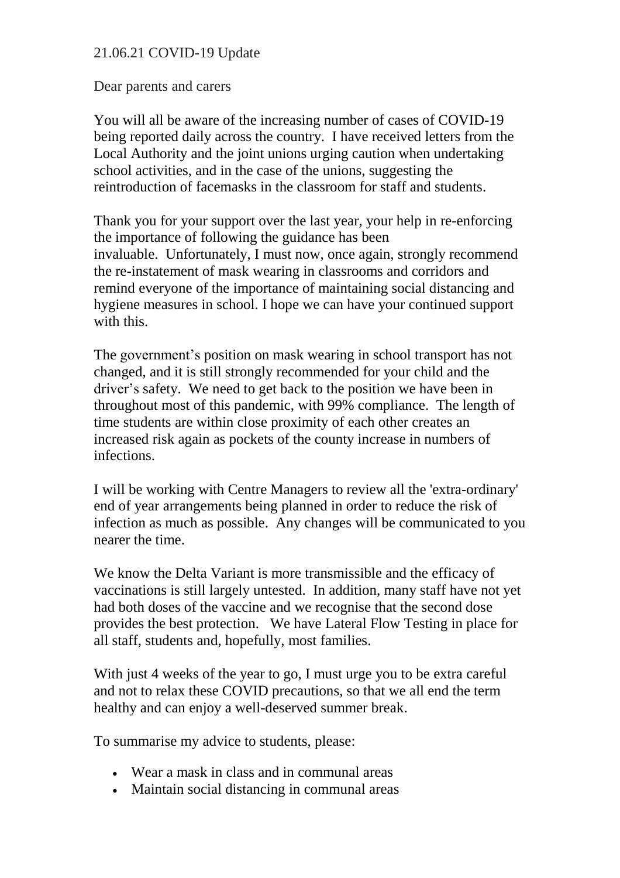## 21.06.21 COVID-19 Update

Dear parents and carers

You will all be aware of the increasing number of cases of COVID-19 being reported daily across the country. I have received letters from the Local Authority and the joint unions urging caution when undertaking school activities, and in the case of the unions, suggesting the reintroduction of facemasks in the classroom for staff and students.

Thank you for your support over the last year, your help in re-enforcing the importance of following the guidance has been invaluable. Unfortunately, I must now, once again, strongly recommend the re-instatement of mask wearing in classrooms and corridors and remind everyone of the importance of maintaining social distancing and hygiene measures in school. I hope we can have your continued support with this.

The government's position on mask wearing in school transport has not changed, and it is still strongly recommended for your child and the driver's safety. We need to get back to the position we have been in throughout most of this pandemic, with 99% compliance. The length of time students are within close proximity of each other creates an increased risk again as pockets of the county increase in numbers of infections.

I will be working with Centre Managers to review all the 'extra-ordinary' end of year arrangements being planned in order to reduce the risk of infection as much as possible. Any changes will be communicated to you nearer the time.

We know the Delta Variant is more transmissible and the efficacy of vaccinations is still largely untested. In addition, many staff have not yet had both doses of the vaccine and we recognise that the second dose provides the best protection. We have Lateral Flow Testing in place for all staff, students and, hopefully, most families.

With just 4 weeks of the year to go, I must urge you to be extra careful and not to relax these COVID precautions, so that we all end the term healthy and can enjoy a well-deserved summer break.

To summarise my advice to students, please:

- Wear a mask in class and in communal areas
- Maintain social distancing in communal areas